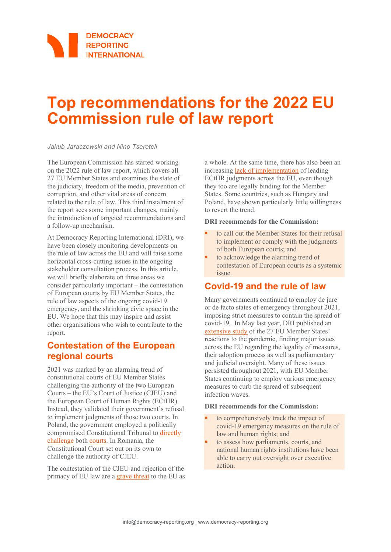# **Top recommendations for the 2022 EU Commission rule of law report**

*Jakub Jaraczewski and Nino Tsereteli* 

The European Commission has started working on the 2022 rule of law report, which covers all 27 EU Member States and examines the state of the judiciary, freedom of the media, prevention of corruption, and other vital areas of concern related to the rule of law. This third instalment of the report sees some important changes, mainly the introduction of targeted recommendations and a follow-up mechanism.

At Democracy Reporting International (DRI), we have been closely monitoring developments on the rule of law across the EU and will raise some horizontal cross-cutting issues in the ongoing stakeholder consultation process. In this article, we will briefly elaborate on three areas we consider particularly important – the contestation of European courts by EU Member States, the rule of law aspects of the ongoing covid-19 emergency, and the shrinking civic space in the EU. We hope that this may inspire and assist other organisations who wish to contribute to the report.

### **Contestation of the European regional courts**

2021 was marked by an alarming trend of constitutional courts of EU Member States challenging the authority of the two European Courts – the EU's Court of Justice (CJEU) and the European Court of Human Rights (ECtHR). Instead, they validated their government's refusal to implement judgments of those two courts. In Poland, the government employed a politically compromised Constitutional Tribunal to [directly](https://verfassungsblog.de/gazing-into-the-abyss/)  [challenge](https://verfassungsblog.de/gazing-into-the-abyss/) both [courts.](https://notesfrompoland.com/2021/11/25/part-of-european-human-rights-convention-incompatible-with-polish-constitution-finds-top-court/) In Romania, the Constitutional Court set out on its own to challenge the authority of CJEU.

The contestation of the CJEU and rejection of the primacy of EU law are [a grave threat](https://www.politico.eu/article/eu-court-president-koen-lenaerts-warn-european-project-danger/) to the EU as a whole. At the same time, there has also been an increasing [lack of implementation](https://www.einnetwork.org/countries-overview) of leading ECtHR judgments across the EU, even though they too are legally binding for the Member States. Some countries, such as Hungary and Poland, have shown particularly little willingness to revert the trend.

#### **DRI recommends for the Commission:**

- to call out the Member States for their refusal to implement or comply with the judgments of both European courts; and
- to acknowledge the alarming trend of contestation of European courts as a systemic issue.

## **Covid-19 and the rule of law**

Many governments continued to employ de jure or de facto states of emergency throughout 2021, imposing strict measures to contain the spread of covid-19. In May last year, DRI published an [extensive study](https://democracy-reporting.org/en/office/EU/publications/extraordinary-or-extralegal-responses-covid-19-and-the-rule-of-law-in-the-eu) of the 27 EU Member States' reactions to the pandemic, finding major issues across the EU regarding the legality of measures, their adoption process as well as parliamentary and judicial oversight. Many of these issues persisted throughout 2021, with EU Member States continuing to employ various emergency measures to curb the spread of subsequent infection waves.

#### **DRI recommends for the Commission:**

- to comprehensively track the impact of covid-19 emergency measures on the rule of law and human rights; and
- to assess how parliaments, courts, and national human rights institutions have been able to carry out oversight over executive action.